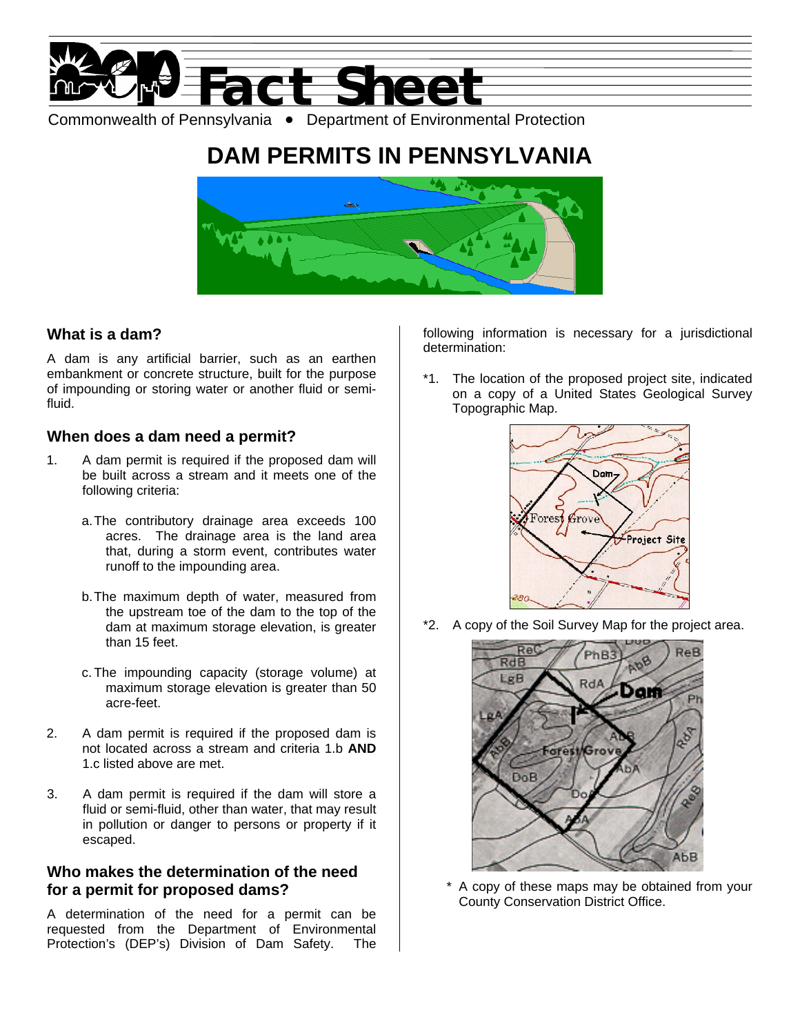

Commonwealth of Pennsylvania • Department of Environmental Protection

# **DAM PERMITS IN PENNSYLVANIA**



## **What is a dam?**

A dam is any artificial barrier, such as an earthen embankment or concrete structure, built for the purpose of impounding or storing water or another fluid or semifluid.

### **When does a dam need a permit?**

- 1. A dam permit is required if the proposed dam will be built across a stream and it meets one of the following criteria:
	- a. The contributory drainage area exceeds 100 acres. The drainage area is the land area that, during a storm event, contributes water runoff to the impounding area.
	- b. The maximum depth of water, measured from the upstream toe of the dam to the top of the dam at maximum storage elevation, is greater than 15 feet.
	- c. The impounding capacity (storage volume) at maximum storage elevation is greater than 50 acre-feet.
- 2. A dam permit is required if the proposed dam is not located across a stream and criteria 1.b **AND** 1.c listed above are met.
- 3. A dam permit is required if the dam will store a fluid or semi-fluid, other than water, that may result in pollution or danger to persons or property if it escaped.

### **Who makes the determination of the need for a permit for proposed dams?**

A determination of the need for a permit can be requested from the Department of Environmental Protection's (DEP's) Division of Dam Safety. The

following information is necessary for a jurisdictional determination:

\*1. The location of the proposed project site, indicated on a copy of a United States Geological Survey Topographic Map.



\*2. A copy of the Soil Survey Map for the project area.



\* A copy of these maps may be obtained from your County Conservation District Office.